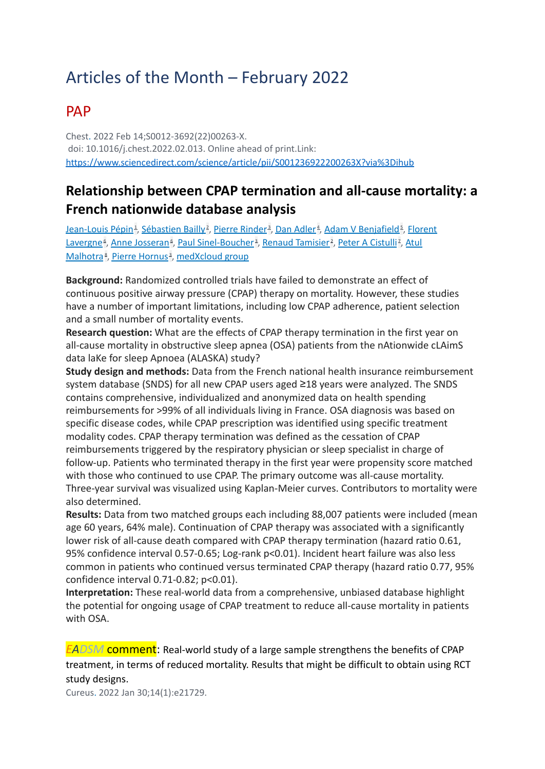# Articles of the Month – February 2022

### PAP

Chest. 2022 Feb 14;S0012-3692(22)00263-X. doi: 10.1016/j.chest.2022.02.013. Online ahead of print.Link: <https://www.sciencedirect.com/science/article/pii/S001236922200263X?via%3Dihub>

#### **Relationship between CPAP termination and all-cause mortality: a French nationwide database analysis**

<u>[Jean-Louis](https://pubmed.ncbi.nlm.nih.gov/?sort=date&size=100&term=P%C3%A9pin+JL&cauthor_id=35176275) Pépin[1](https://pubmed.ncbi.nlm.nih.gov/35176275/#affiliation-1), [Sébastien](https://pubmed.ncbi.nlm.nih.gov/?sort=date&size=100&term=Bailly+S&cauthor_id=35176275) Bailly[2](https://pubmed.ncbi.nlm.nih.gov/35176275/#affiliation-2), Pierre [Rinder](https://pubmed.ncbi.nlm.nih.gov/?sort=date&size=100&term=Rinder+P&cauthor_id=35176275)[3](https://pubmed.ncbi.nlm.nih.gov/35176275/#affiliation-3), Dan [Adler](https://pubmed.ncbi.nlm.nih.gov/?sort=date&size=100&term=Adler+D&cauthor_id=35176275)[4](https://pubmed.ncbi.nlm.nih.gov/35176275/#affiliation-4), Adam V [Benjafield](https://pubmed.ncbi.nlm.nih.gov/?sort=date&size=100&term=Benjafield+AV&cauthor_id=35176275)3, [Florent](https://pubmed.ncbi.nlm.nih.gov/?sort=date&size=100&term=Lavergne+F&cauthor_id=35176275)</u> [Lavergne](https://pubmed.ncbi.nlm.nih.gov/?sort=date&size=100&term=Lavergne+F&cauthor_id=35176275)<sup>s</sup>, Anne [Josseran](https://pubmed.ncbi.nlm.nih.gov/?sort=date&size=100&term=Josseran+A&cauthor_id=35176275)<sup>s</sup>, Paul [Sinel-Boucher](https://pubmed.ncbi.nlm.nih.gov/?sort=date&size=100&term=Sinel-Boucher+P&cauthor_id=35176275)<sup>[3](https://pubmed.ncbi.nlm.nih.gov/35176275/#affiliation-3)</sup>, Renaud [Tamisier](https://pubmed.ncbi.nlm.nih.gov/?sort=date&size=100&term=Tamisier+R&cauthor_id=35176275)<sup>[2](https://pubmed.ncbi.nlm.nih.gov/35176275/#affiliation-2)</sup>, Peter A [Cistulli](https://pubmed.ncbi.nlm.nih.gov/?sort=date&size=100&term=Cistulli+PA&cauthor_id=35176275)<sup>z</sup>, [Atul](https://pubmed.ncbi.nlm.nih.gov/?sort=date&size=100&term=Malhotra+A&cauthor_id=35176275) [Malhotra](https://pubmed.ncbi.nlm.nih.gov/?sort=date&size=100&term=Malhotra+A&cauthor_id=35176275)<sup>[8](https://pubmed.ncbi.nlm.nih.gov/35176275/#affiliation-8)</sup>, Pierre [Hornus](https://pubmed.ncbi.nlm.nih.gov/?sort=date&size=100&term=Hornus+P&cauthor_id=35176275)<sup>[3](https://pubmed.ncbi.nlm.nih.gov/35176275/#affiliation-3)</sup>, [medXcloud](https://pubmed.ncbi.nlm.nih.gov/?sort=date&size=100&term=medXcloud+group%5BCorporate+Author%5D) group

**Background:** Randomized controlled trials have failed to demonstrate an effect of continuous positive airway pressure (CPAP) therapy on mortality. However, these studies have a number of important limitations, including low CPAP adherence, patient selection and a small number of mortality events.

**Research question:** What are the effects of CPAP therapy termination in the first year on all-cause mortality in obstructive sleep apnea (OSA) patients from the nAtionwide cLAimS data laKe for sleep Apnoea (ALASKA) study?

**Study design and methods:** Data from the French national health insurance reimbursement system database (SNDS) for all new CPAP users aged ≥18 years were analyzed. The SNDS contains comprehensive, individualized and anonymized data on health spending reimbursements for >99% of all individuals living in France. OSA diagnosis was based on specific disease codes, while CPAP prescription was identified using specific treatment modality codes. CPAP therapy termination was defined as the cessation of CPAP reimbursements triggered by the respiratory physician or sleep specialist in charge of follow-up. Patients who terminated therapy in the first year were propensity score matched with those who continued to use CPAP. The primary outcome was all-cause mortality. Three-year survival was visualized using Kaplan-Meier curves. Contributors to mortality were also determined.

**Results:** Data from two matched groups each including 88,007 patients were included (mean age 60 years, 64% male). Continuation of CPAP therapy was associated with a significantly lower risk of all-cause death compared with CPAP therapy termination (hazard ratio 0.61, 95% confidence interval 0.57-0.65; Log-rank p<0.01). Incident heart failure was also less common in patients who continued versus terminated CPAP therapy (hazard ratio 0.77, 95% confidence interval 0.71-0.82; p<0.01).

**Interpretation:** These real-world data from a comprehensive, unbiased database highlight the potential for ongoing usage of CPAP treatment to reduce all-cause mortality in patients with OSA.

*EADSM* comment: Real-world study of a large sample strengthens the benefits of CPAP treatment, in terms of reduced mortality. Results that might be difficult to obtain using RCT study designs.

Cureus. 2022 Jan 30;14(1):e21729.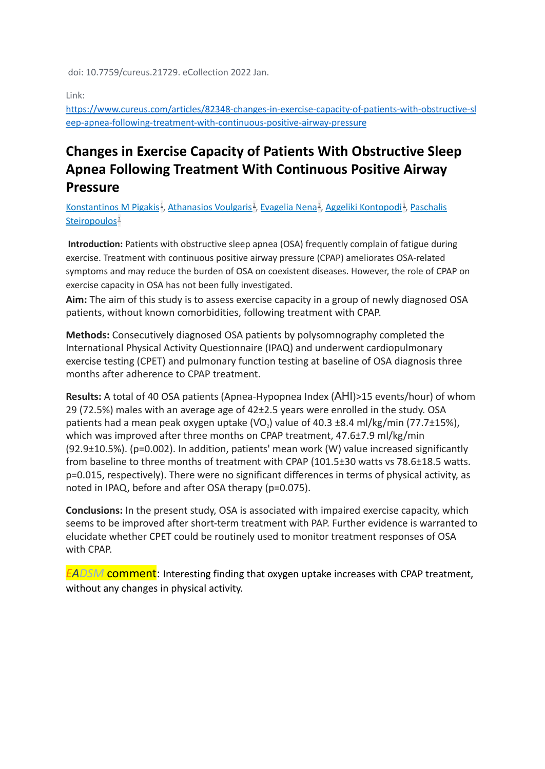doi: 10.7759/cureus.21729. eCollection 2022 Jan.

Link:

[https://www.cureus.com/articles/82348-changes-in-exercise-capacity-of-patients-with-obstructive-sl](https://www.cureus.com/articles/82348-changes-in-exercise-capacity-of-patients-with-obstructive-sleep-apnea-following-treatment-with-continuous-positive-airway-pressure) [eep-apnea-following-treatment-with-continuous-positive-airway-pressure](https://www.cureus.com/articles/82348-changes-in-exercise-capacity-of-patients-with-obstructive-sleep-apnea-following-treatment-with-continuous-positive-airway-pressure)

### **Changes in Exercise Capacity of Patients With Obstructive Sleep Apnea Following Treatment With Continuous Positive Airway Pressure**

[Konstantinos](https://pubmed.ncbi.nlm.nih.gov/?sort=date&size=100&term=Pigakis+KM&cauthor_id=35223327) M Pigakis<sup>[1](https://pubmed.ncbi.nlm.nih.gov/35223327/#affiliation-1)</sup>, [Athanasios](https://pubmed.ncbi.nlm.nih.gov/?sort=date&size=100&term=Voulgaris+A&cauthor_id=35223327) Voulgaris<sup>[2](https://pubmed.ncbi.nlm.nih.gov/35223327/#affiliation-2)</sup>, [Evagelia](https://pubmed.ncbi.nlm.nih.gov/?sort=date&size=100&term=Nena+E&cauthor_id=35223327) Nena<sup>a</sup>, Aggeliki [Kontopodi](https://pubmed.ncbi.nlm.nih.gov/?sort=date&size=100&term=Kontopodi+A&cauthor_id=35223327)<sup>1</sup>, [Paschalis](https://pubmed.ncbi.nlm.nih.gov/?sort=date&size=100&term=Steiropoulos+P&cauthor_id=35223327) [Steiropoulos](https://pubmed.ncbi.nlm.nih.gov/?sort=date&size=100&term=Steiropoulos+P&cauthor_id=35223327)<sup>[2](https://pubmed.ncbi.nlm.nih.gov/35223327/#affiliation-2)</sup>

**Introduction:** Patients with obstructive sleep apnea (OSA) frequently complain of fatigue during exercise. Treatment with continuous positive airway pressure (CPAP) ameliorates OSA-related symptoms and may reduce the burden of OSA on coexistent diseases. However, the role of CPAP on exercise capacity in OSA has not been fully investigated.

**Aim:** The aim of this study is to assess exercise capacity in a group of newly diagnosed OSA patients, without known comorbidities, following treatment with CPAP.

**Methods:** Consecutively diagnosed OSA patients by polysomnography completed the International Physical Activity Questionnaire (IPAQ) and underwent cardiopulmonary exercise testing (CPET) and pulmonary function testing at baseline of OSA diagnosis three months after adherence to CPAP treatment.

**Results:** A total of 40 OSA patients (Apnea-Hypopnea Index (ΑΗΙ)>15 events/hour) of whom 29 (72.5%) males with an average age of 42±2.5 years were enrolled in the study. OSA patients had a mean peak oxygen uptake ( $VO<sub>2</sub>$ ) value of 40.3 ±8.4 ml/kg/min (77.7±15%), which was improved after three months on CPAP treatment, 47.6±7.9 ml/kg/min (92.9±10.5%). (p=0.002). In addition, patients' mean work (W) value increased significantly from baseline to three months of treatment with CPAP (101.5±30 watts vs 78.6±18.5 watts. p=0.015, respectively). There were no significant differences in terms of physical activity, as noted in IPAQ, before and after OSA therapy (p=0.075).

**Conclusions:** In the present study, OSA is associated with impaired exercise capacity, which seems to be improved after short-term treatment with PAP. Further evidence is warranted to elucidate whether CPET could be routinely used to monitor treatment responses of OSA with CPAP.

*EADSM* comment: Interesting finding that oxygen uptake increases with CPAP treatment, without any changes in physical activity.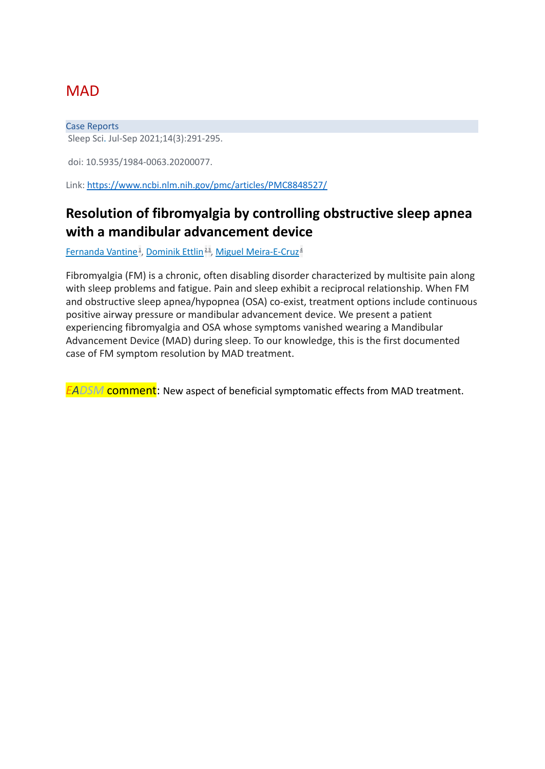# **MAD**

Case Reports Sleep Sci. Jul-Sep 2021;14(3):291-295.

doi: 10.5935/1984-0063.20200077.

Link: <https://www.ncbi.nlm.nih.gov/pmc/articles/PMC8848527/>

#### **Resolution of fibromyalgia by controlling obstructive sleep apnea with a mandibular advancement device**

[Fernanda](https://pubmed.ncbi.nlm.nih.gov/?sort=date&size=100&term=Vantine+F&cauthor_id=35186209) Vantine [1](https://pubmed.ncbi.nlm.nih.gov/35186209/#affiliation-1) , [Dominik](https://pubmed.ncbi.nlm.nih.gov/?sort=date&size=100&term=Ettlin+D&cauthor_id=35186209) Ettlin [2](https://pubmed.ncbi.nlm.nih.gov/35186209/#affiliation-2) [3](https://pubmed.ncbi.nlm.nih.gov/35186209/#affiliation-3) , Miguel [Meira-E-Cruz](https://pubmed.ncbi.nlm.nih.gov/?sort=date&size=100&term=Meira-E-Cruz+M&cauthor_id=35186209) [4](https://pubmed.ncbi.nlm.nih.gov/35186209/#affiliation-4)

Fibromyalgia (FM) is a chronic, often disabling disorder characterized by multisite pain along with sleep problems and fatigue. Pain and sleep exhibit a reciprocal relationship. When FM and obstructive sleep apnea/hypopnea (OSA) co-exist, treatment options include continuous positive airway pressure or mandibular advancement device. We present a patient experiencing fibromyalgia and OSA whose symptoms vanished wearing a Mandibular Advancement Device (MAD) during sleep. To our knowledge, this is the first documented case of FM symptom resolution by MAD treatment.

*EADSM* comment: New aspect of beneficial symptomatic effects from MAD treatment.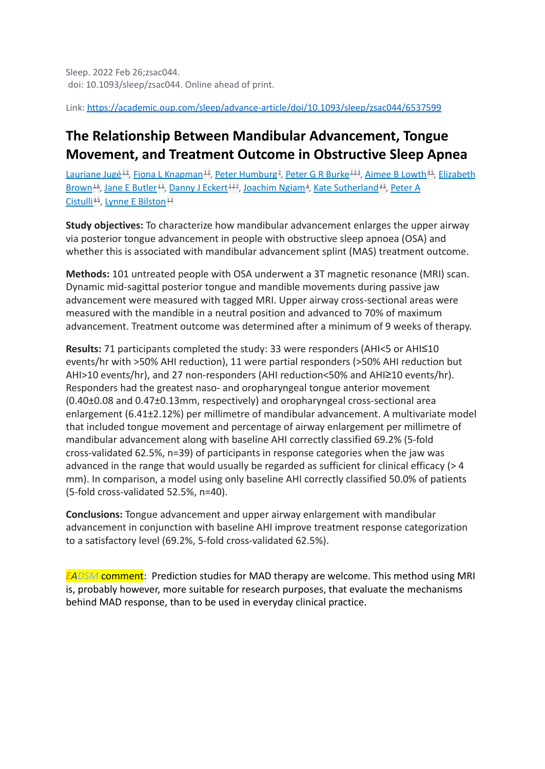Link: <https://academic.oup.com/sleep/advance-article/doi/10.1093/sleep/zsac044/6537599>

# **The Relationship Between Mandibular Advancement, Tongue Movement, and Treatment Outcome in Obstructive Sleep Apnea**

[Lauriane](https://pubmed.ncbi.nlm.nih.gov/?sort=date&size=100&term=Jug%C3%A9+L&cauthor_id=35218653) Jugé<sup>[1](https://pubmed.ncbi.nlm.nih.gov/35218653/#affiliation-1)[2](https://pubmed.ncbi.nlm.nih.gov/35218653/#affiliation-2)</sup>, Fiona L [Knapman](https://pubmed.ncbi.nlm.nih.gov/?sort=date&size=100&term=Knapman+FL&cauthor_id=35218653)<sup>12</sup>, Peter [Humburg](https://pubmed.ncbi.nlm.nih.gov/?sort=date&size=100&term=Humburg+P&cauthor_id=35218653)<sup>2</sup>, Peter G R [Burke](https://pubmed.ncbi.nlm.nih.gov/?sort=date&size=100&term=Burke+PGR&cauthor_id=35218653)<sup>12[3](https://pubmed.ncbi.nlm.nih.gov/35218653/#affiliation-3)</sup>, [Aimee](https://pubmed.ncbi.nlm.nih.gov/?sort=date&size=100&term=Lowth+AB&cauthor_id=35218653) B Lowth<sup>[4](https://pubmed.ncbi.nlm.nih.gov/35218653/#affiliation-4)[5](https://pubmed.ncbi.nlm.nih.gov/35218653/#affiliation-5)</sup>, [Elizabeth](https://pubmed.ncbi.nlm.nih.gov/?sort=date&size=100&term=Brown+E&cauthor_id=35218653) [Brown](https://pubmed.ncbi.nlm.nih.gov/?sort=date&size=100&term=Brown+E&cauthor_id=35218653)<sup>[1](https://pubmed.ncbi.nlm.nih.gov/35218653/#affiliation-1)[6](https://pubmed.ncbi.nlm.nih.gov/35218653/#affiliation-6)</sup>, Jane E [Butler](https://pubmed.ncbi.nlm.nih.gov/?sort=date&size=100&term=Butler+JE&cauthor_id=35218653)<sup>1[2](https://pubmed.ncbi.nlm.nih.gov/35218653/#affiliation-2)</sup>, [Danny](https://pubmed.ncbi.nlm.nih.gov/?sort=date&size=100&term=Eckert+DJ&cauthor_id=35218653) J Eckert<sup>12[7](https://pubmed.ncbi.nlm.nih.gov/35218653/#affiliation-7)</sup>, [Joachim](https://pubmed.ncbi.nlm.nih.gov/?sort=date&size=100&term=Ngiam+J&cauthor_id=35218653) Ngiam<sup>[4](https://pubmed.ncbi.nlm.nih.gov/35218653/#affiliation-4)</sup>, Kate [Sutherland](https://pubmed.ncbi.nlm.nih.gov/?sort=date&size=100&term=Sutherland+K&cauthor_id=35218653)<sup>4[5](https://pubmed.ncbi.nlm.nih.gov/35218653/#affiliation-5)</sup>, [Peter](https://pubmed.ncbi.nlm.nih.gov/?sort=date&size=100&term=Cistulli+PA&cauthor_id=35218653) A [Cistulli](https://pubmed.ncbi.nlm.nih.gov/?sort=date&size=100&term=Cistulli+PA&cauthor_id=35218653)<sup>[4](https://pubmed.ncbi.nlm.nih.gov/35218653/#affiliation-4)[5](https://pubmed.ncbi.nlm.nih.gov/35218653/#affiliation-5)</sup>, Lynne E [Bilston](https://pubmed.ncbi.nlm.nih.gov/?sort=date&size=100&term=Bilston+LE&cauthor_id=35218653)<sup>[1](https://pubmed.ncbi.nlm.nih.gov/35218653/#affiliation-1)[2](https://pubmed.ncbi.nlm.nih.gov/35218653/#affiliation-2)</sup>

**Study objectives:** To characterize how mandibular advancement enlarges the upper airway via posterior tongue advancement in people with obstructive sleep apnoea (OSA) and whether this is associated with mandibular advancement splint (MAS) treatment outcome.

**Methods:** 101 untreated people with OSA underwent a 3T magnetic resonance (MRI) scan. Dynamic mid-sagittal posterior tongue and mandible movements during passive jaw advancement were measured with tagged MRI. Upper airway cross-sectional areas were measured with the mandible in a neutral position and advanced to 70% of maximum advancement. Treatment outcome was determined after a minimum of 9 weeks of therapy.

**Results:** 71 participants completed the study: 33 were responders (AHI<5 or AHI≤10 events/hr with >50% AHI reduction), 11 were partial responders (>50% AHI reduction but AHI>10 events/hr), and 27 non-responders (AHI reduction<50% and AHI≥10 events/hr). Responders had the greatest naso- and oropharyngeal tongue anterior movement (0.40±0.08 and 0.47±0.13mm, respectively) and oropharyngeal cross-sectional area enlargement (6.41±2.12%) per millimetre of mandibular advancement. A multivariate model that included tongue movement and percentage of airway enlargement per millimetre of mandibular advancement along with baseline AHI correctly classified 69.2% (5-fold cross-validated 62.5%, n=39) of participants in response categories when the jaw was advanced in the range that would usually be regarded as sufficient for clinical efficacy (> 4 mm). In comparison, a model using only baseline AHI correctly classified 50.0% of patients (5-fold cross-validated 52.5%, n=40).

**Conclusions:** Tongue advancement and upper airway enlargement with mandibular advancement in conjunction with baseline AHI improve treatment response categorization to a satisfactory level (69.2%, 5-fold cross-validated 62.5%).

*EADSM* comment: Prediction studies for MAD therapy are welcome. This method using MRI is, probably however, more suitable for research purposes, that evaluate the mechanisms behind MAD response, than to be used in everyday clinical practice.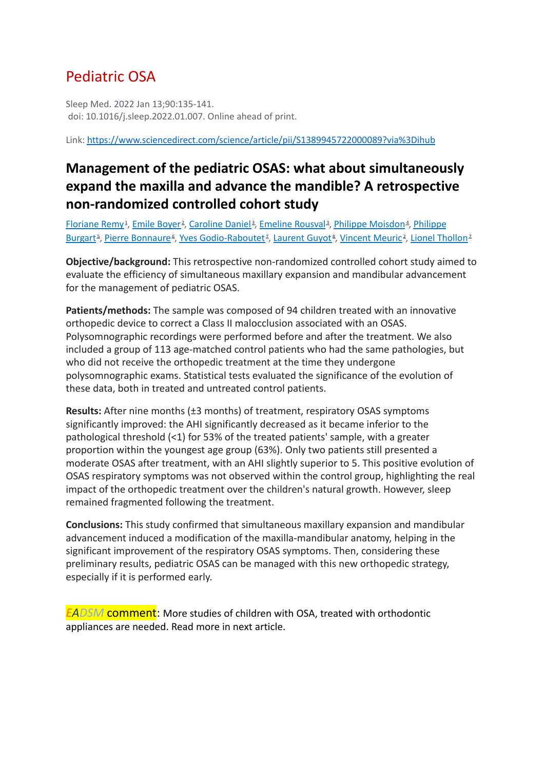# Pediatric OSA

Sleep Med. 2022 Jan 13;90:135-141. doi: 10.1016/j.sleep.2022.01.007. Online ahead of print.

Link: <https://www.sciencedirect.com/science/article/pii/S1389945722000089?via%3Dihub>

## **Management of the pediatric OSAS: what about simultaneously expand the maxilla and advance the mandible? A retrospective non-randomized controlled cohort study**

Eloriane Remy<sup>[1](https://pubmed.ncbi.nlm.nih.gov/35158293/#affiliation-1)</sup>, Emile [Boyer](https://pubmed.ncbi.nlm.nih.gov/?sort=date&size=100&term=Boyer+E&cauthor_id=35158293)<sup>[2](https://pubmed.ncbi.nlm.nih.gov/35158293/#affiliation-2)</sup>, [Caroline](https://pubmed.ncbi.nlm.nih.gov/?sort=date&size=100&term=Daniel+C&cauthor_id=35158293) Daniel<sup>[3](https://pubmed.ncbi.nlm.nih.gov/35158293/#affiliation-3)</sup>, [Emeline](https://pubmed.ncbi.nlm.nih.gov/?sort=date&size=100&term=Rousval+E&cauthor_id=35158293) Rousval<sup>3</sup>, Philippe [Moisdon](https://pubmed.ncbi.nlm.nih.gov/?sort=date&size=100&term=Moisdon+P&cauthor_id=35158293)<sup>[4](https://pubmed.ncbi.nlm.nih.gov/35158293/#affiliation-4)</sup>, [Philippe](https://pubmed.ncbi.nlm.nih.gov/?sort=date&size=100&term=Burgart+P&cauthor_id=35158293) [Burgart](https://pubmed.ncbi.nlm.nih.gov/?sort=date&size=100&term=Burgart+P&cauthor_id=35158293)<sup>s</sup>, Pierre [Bonnaure](https://pubmed.ncbi.nlm.nih.gov/?sort=date&size=100&term=Bonnaure+P&cauthor_id=35158293)<sup>s</sup>, Yves [Godio-Raboutet](https://pubmed.ncbi.nlm.nih.gov/?sort=date&size=100&term=Godio-Raboutet+Y&cauthor_id=35158293)<sup>z</sup>, [Laurent](https://pubmed.ncbi.nlm.nih.gov/?sort=date&size=100&term=Guyot+L&cauthor_id=35158293) Guyot<sup>s</sup>, [Vincent](https://pubmed.ncbi.nlm.nih.gov/?sort=date&size=100&term=Meuric+V&cauthor_id=35158293) Meuric<sup>[2](https://pubmed.ncbi.nlm.nih.gov/35158293/#affiliation-2)</sup>, Lionel [Thollon](https://pubmed.ncbi.nlm.nih.gov/?sort=date&size=100&term=Thollon+L&cauthor_id=35158293)<sup>z</sup>

**Objective/background:** This retrospective non-randomized controlled cohort study aimed to evaluate the efficiency of simultaneous maxillary expansion and mandibular advancement for the management of pediatric OSAS.

**Patients/methods:** The sample was composed of 94 children treated with an innovative orthopedic device to correct a Class II malocclusion associated with an OSAS. Polysomnographic recordings were performed before and after the treatment. We also included a group of 113 age-matched control patients who had the same pathologies, but who did not receive the orthopedic treatment at the time they undergone polysomnographic exams. Statistical tests evaluated the significance of the evolution of these data, both in treated and untreated control patients.

**Results:** After nine months (±3 months) of treatment, respiratory OSAS symptoms significantly improved: the AHI significantly decreased as it became inferior to the pathological threshold (<1) for 53% of the treated patients' sample, with a greater proportion within the youngest age group (63%). Only two patients still presented a moderate OSAS after treatment, with an AHI slightly superior to 5. This positive evolution of OSAS respiratory symptoms was not observed within the control group, highlighting the real impact of the orthopedic treatment over the children's natural growth. However, sleep remained fragmented following the treatment.

**Conclusions:** This study confirmed that simultaneous maxillary expansion and mandibular advancement induced a modification of the maxilla-mandibular anatomy, helping in the significant improvement of the respiratory OSAS symptoms. Then, considering these preliminary results, pediatric OSAS can be managed with this new orthopedic strategy, especially if it is performed early.

*EADSM* comment: More studies of children with OSA, treated with orthodontic appliances are needed. Read more in next article.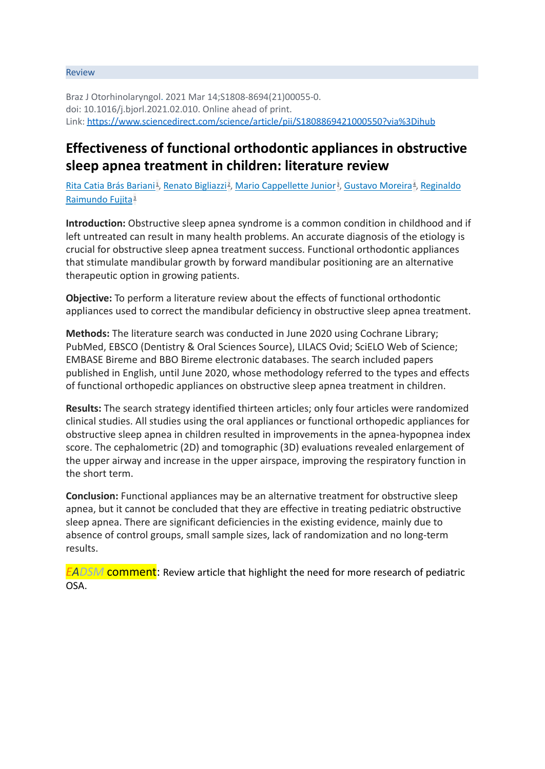#### Review

Braz J Otorhinolaryngol. 2021 Mar 14;S1808-8694(21)00055-0. doi: 10.1016/j.bjorl.2021.02.010. Online ahead of print. Link: <https://www.sciencedirect.com/science/article/pii/S1808869421000550?via%3Dihub>

#### **Effectiveness of functional orthodontic appliances in obstructive sleep apnea treatment in children: literature review**

Rita Catia Brás [Bariani](https://pubmed.ncbi.nlm.nih.gov/?sort=date&size=100&term=Bariani+RCB&cauthor_id=33757756)<sup>[1](https://pubmed.ncbi.nlm.nih.gov/33757756/#affiliation-1)</sup>, Renato [Bigliazzi](https://pubmed.ncbi.nlm.nih.gov/?sort=date&size=100&term=Bigliazzi+R&cauthor_id=33757756)<sup>[2](https://pubmed.ncbi.nlm.nih.gov/33757756/#affiliation-2)</sup>, Mario [Cappellette](https://pubmed.ncbi.nlm.nih.gov/?sort=date&size=100&term=Cappellette+Junior+M&cauthor_id=33757756) Junior<sup>[3](https://pubmed.ncbi.nlm.nih.gov/33757756/#affiliation-3)</sup>, [Gustavo](https://pubmed.ncbi.nlm.nih.gov/?sort=date&size=100&term=Moreira+G&cauthor_id=33757756) Moreira<sup>[4](https://pubmed.ncbi.nlm.nih.gov/33757756/#affiliation-4)</sup>, [Reginaldo](https://pubmed.ncbi.nlm.nih.gov/?sort=date&size=100&term=Fujita+RR&cauthor_id=33757756) [Raimundo](https://pubmed.ncbi.nlm.nih.gov/?sort=date&size=100&term=Fujita+RR&cauthor_id=33757756) Fujita<sup>[3](https://pubmed.ncbi.nlm.nih.gov/33757756/#affiliation-3)</sup>

**Introduction:** Obstructive sleep apnea syndrome is a common condition in childhood and if left untreated can result in many health problems. An accurate diagnosis of the etiology is crucial for obstructive sleep apnea treatment success. Functional orthodontic appliances that stimulate mandibular growth by forward mandibular positioning are an alternative therapeutic option in growing patients.

**Objective:** To perform a literature review about the effects of functional orthodontic appliances used to correct the mandibular deficiency in obstructive sleep apnea treatment.

**Methods:** The literature search was conducted in June 2020 using Cochrane Library; PubMed, EBSCO (Dentistry & Oral Sciences Source), LILACS Ovid; SciELO Web of Science; EMBASE Bireme and BBO Bireme electronic databases. The search included papers published in English, until June 2020, whose methodology referred to the types and effects of functional orthopedic appliances on obstructive sleep apnea treatment in children.

**Results:** The search strategy identified thirteen articles; only four articles were randomized clinical studies. All studies using the oral appliances or functional orthopedic appliances for obstructive sleep apnea in children resulted in improvements in the apnea-hypopnea index score. The cephalometric (2D) and tomographic (3D) evaluations revealed enlargement of the upper airway and increase in the upper airspace, improving the respiratory function in the short term.

**Conclusion:** Functional appliances may be an alternative treatment for obstructive sleep apnea, but it cannot be concluded that they are effective in treating pediatric obstructive sleep apnea. There are significant deficiencies in the existing evidence, mainly due to absence of control groups, small sample sizes, lack of randomization and no long-term results.

*EADSM* comment: Review article that highlight the need for more research of pediatric OSA.